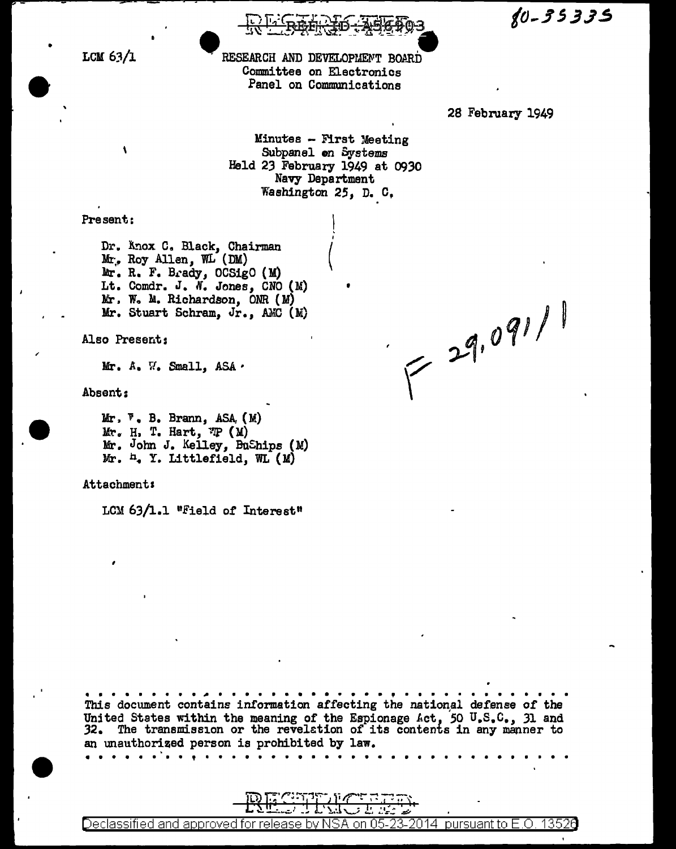$80 - 35335$ 

LCM  $63/1$ 

RESEARCH AND DEVELOPMENT BOARD Committee on Electronics Panel on Communications

28 February 1949

Minutes - First Meeting Subpanel on Systems Held 23 February 1949 at 0930 Navy Department Washington 25, D. C.

Present:

 $\mathbf{A}$ 

Dr. Änox C. Black, Chairman Mr. Roy Allen, WL (DM) Mr. R. F. Brady, OCSigO (M) Lt. Comdr. J. N. Jones, CNO (M) Mr. W. M. Richardson, ONR (M) Mr. Stuart Schram, Jr., AMC (M)

Also Present:

Mr. A. W. Small, ASA.

Absent:

 $Mr, \mathbb{F}$ . B. Brann, ASA,  $(M)$  $Mr. H. T. Hart. T. (M)$ Mr. John J. Kelley, BuShips (M) Mr. h. Y. Littlefield, WL (M)

**Attachment:** 

LCM 63/1.1 "Field of Interest"

Declassified and approved for:

 $=29.091/1$ 

<u>uant t</u>o E.O.

13526

This document contains information affecting the national defense of the United States within the meaning of the Espionage Act, 50 U.S.C., 31 and 32. The transmission or the revelation of its contents in any manner to an unauthorized person is prohibited by law. . . . . .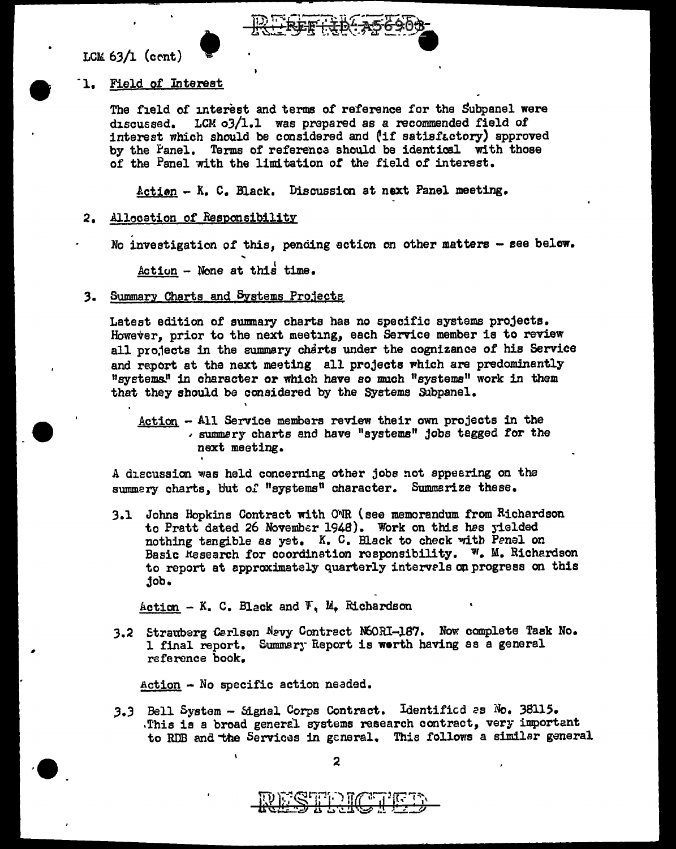--

 $\bullet$  .



# LCM 63/l (cC'nt) • -1. Field of Interest

The field of interest and terms of reference for the Subpanel were discussed. LCM o3/l.l was prepared as a recommended field of interest which should be considered and  $('if satisfactory)$  approved by the Panel. Terms of referenca should be identical with those of the Panel with the limitation of the field of interest.

Actien - K. c. Black. Discussicn at next Panel meeting.

# 2. Allocation of Responsibility

No investigation of this, pending action on other matters  $-$  see below.

 $Action - None$  at this time.

## 3. Summary Charts and Systems Projects

Latest edition of sunmary charts has no specific systems projects. However, prior to the next meeting, each Service member is to review all projects in the summary charts under the cognizance of his Service and report at the next meeting all projects which are predominantly "systems.'' in character or which have so much "systems" work in them that they should be considered by the Systems Subpanel.

Action - All Service members review their own projects in the • surnmsry charts and have "systems" jobs tagged for the next meeting.

A discussion was held concerning other jobs not appearing on the summery charts, but of "systems" character. Summerize these.

3.1 Johns Hopkins Contract with ONR (see memorandum from Richardson to Pratt dated 26 November 1948). Work on this hes yielded nothing tangible as yet.  $K$ .  $C$ . Black to check with Penel on Basic Research for coordination responsibility.  $W$ . M. Richerdson to report at approximately quarterly intervels on progress on this job •

 $Action - K. C. Black and F. M. Richardson$ 

3.2 Strauberg Cerlson Nevy Contract N60RI-187. Now complete Task No. 1 final report. Summary Report is worth having as a general reference book.

Action - No specific action neaded.

3.3 Bell System - Signal Corps Contract. Identificd as No. 38115.<br>This is a broad general systems research contract, very important. to RDB and the Services in general. This follows a similar general

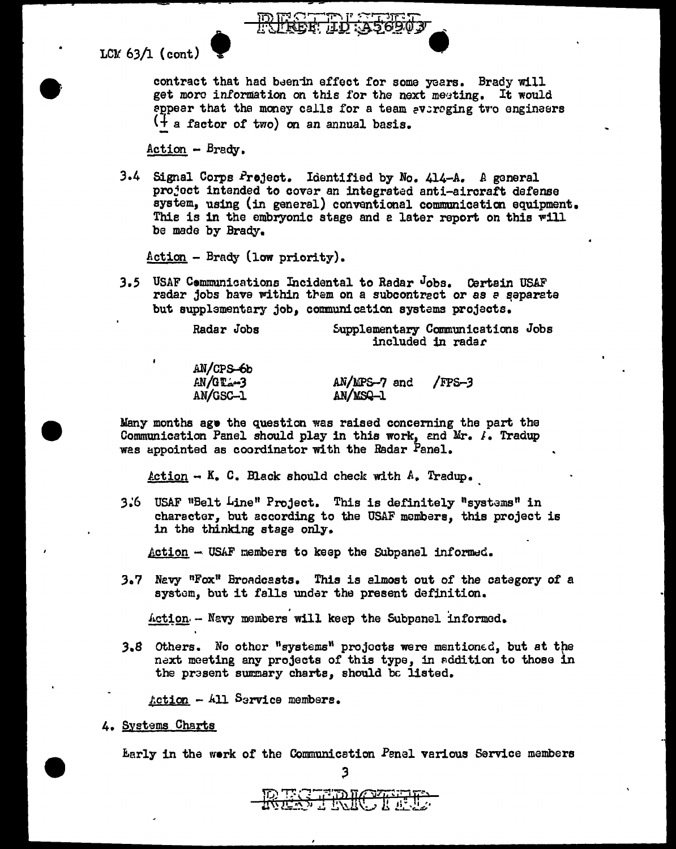LCM  $63/1$  (cont)

contract that had beenin effect for some years. Brady will get more information on this for the next meeting. It would appear that the money calls for a team averaging tro engineers (+ a factor of two) on an annual basis.

Action - Brady.

3.4 Signal Corps Project. Identified by No. 414-A. A general project intended to cover an integrated anti-aircraft defense system, using (in general) conventional communication equipment. This is in the embryonic stage and a later report on this will be made by Brady.

 $Action - Brady$  (low priority).

 $11$ lana  $\lambda$ 

3.5 USAF Communications Incidental to Radar Jobs. Certain USAF radar jobs have within them on a subcontrect or as a separate but supplementary job, communication systems projects.

| Radar Jobs | Supplementary Communications Jobs |  |
|------------|-----------------------------------|--|
|            | included in radar                 |  |

| AN/UPS-OD          |              |        |
|--------------------|--------------|--------|
| $AN/GE_{\alpha-3}$ | AN/MPS-7 and | /FPS-3 |
| AN/GSC-1           | AN/MSQ-1     |        |

Many months ago the question was raised concerning the part the Communication Panel should play in this work, and Mr. I. Tradup was appointed as coordinator with the Radar Panel.

<u>Action</u> -  $K_a$  C. Black should check with  $A_a$  Tradup.

3.6 USAF "Belt Line" Project. This is definitely "systems" in character, but according to the USAF members, this project is in the thinking stage only.

Action - USAF members to keep the Subpanel informed.

3.7 Navy "Fox" Broadcasts. This is almost out of the category of a system, but it falls under the present definition.

Action - Navy members will keep the Subpanel informed.

3.8 Others. No other "systems" projects were mentioned, but at the next meeting any projects of this type, in addition to those in the present summary charts, should be listed.

 $Action - All Service members.$ 

4. Systems Charts

Early in the work of the Communication Panel various Service members 3

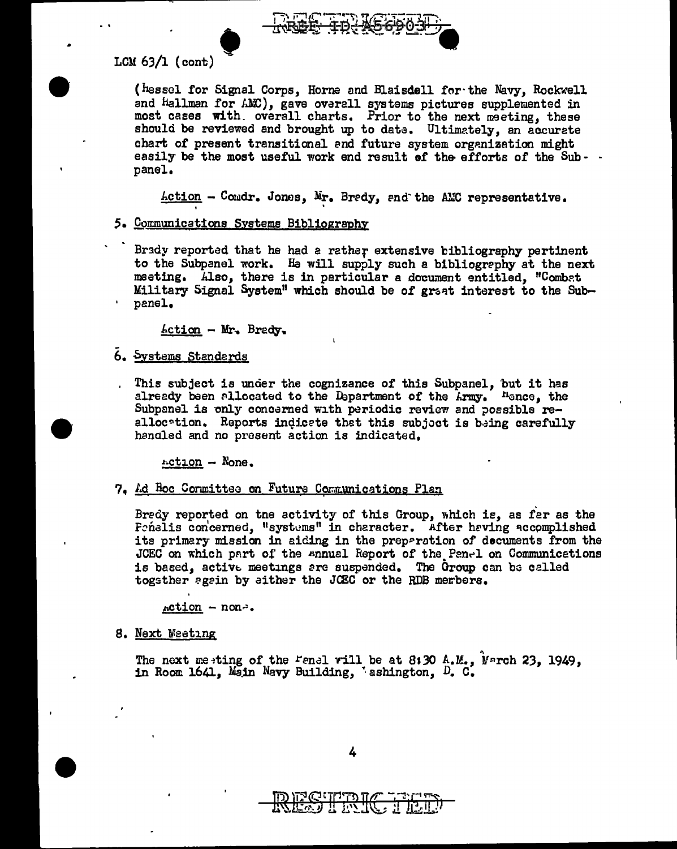

### LCM  $63/1$  (cont)

(hessel for Signal Corps, Horne and Blaisdell for the Navy, Rockwell and Hallman for AMC), gave overall systems pictures supplemented in most cases with. overall charts. Prior to the next meeting, these should be reviewed and brought up to date. Ultimately, an accurate chart of present transitional and future system organization might easily be the most useful work end result of the efforts of the Sub- panel.

Action - Condr. Jones, Mr. Bredy, and the AMC representative.

- 5. Communications Systems Bibliography
	- Brady reported that he had a rather extensive bibliography pertinent to the Subpanel work. He will supply such a bibliography at the next meeting. Also, there is in particular a document entitled. "Combat Military Signal System" which should be of graat interest to the Subpanel.

 $Action - Mr$ , Brady,

6. Systems Standards

This subject is under the cognizance of this Subpanel, but it has already been allocated to the Department of the Army. Hence, the Subpanel is only concerned with periodic review and possible reallocation. Reports indicate that this subject is being carefully hangled and no present action is indicated.

 $rction - None.$ 

7. Ad Hoc Cormittee on Future Communications Plan

Bredy reported on the activity of this Group, which is, as far as the Frnalis concerned, "systems" in character. After having accomplished its primary mission in aiding in the preparation of decuments from the JCEC on which part of the ennual Report of the Panel on Communications is based, active meetings are suspended. The Group can be called togsther again by either the JCEC or the RDB members.

 $action - non-.$ 

8. Next Weeting

The next meeting of the Fanal will be at 8:30 A.M., Narch 23, 1949, in Room 1641, Main Navy Building, 'ashington, D. C.

4